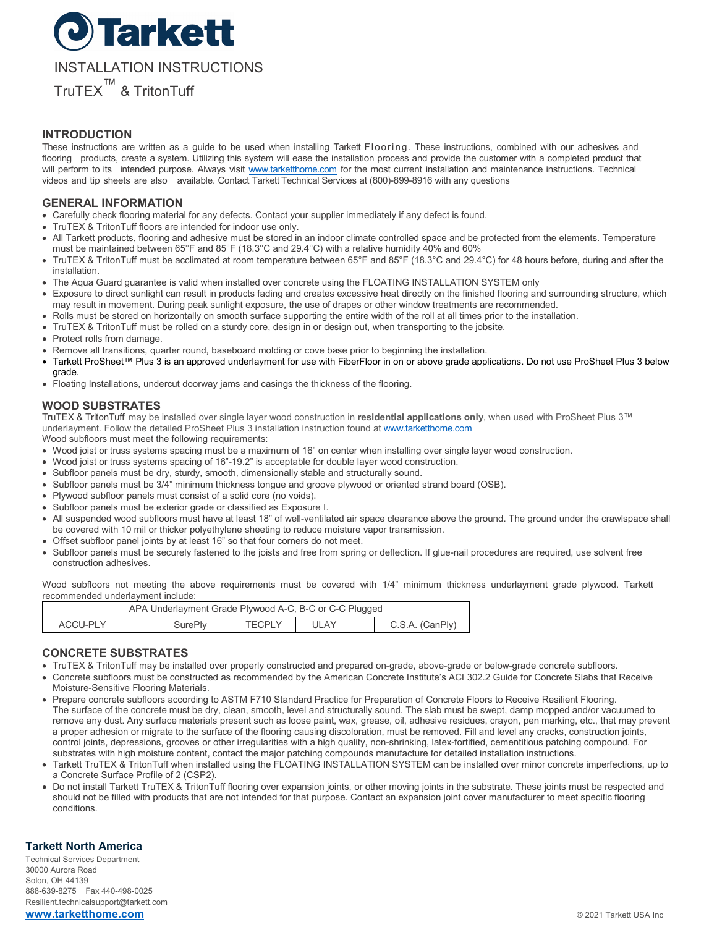

### **INTRODUCTION**

These instructions are written as a guide to be used when installing Tarkett Flooring. These instructions, combined with our adhesives and flooring products, create a system. Utilizing this system will ease the installation process and provide the customer with a completed product that will perform to its intended purpose. Always visit [www.tarketthome.com](http://www.tarketthome.com/) for the most current installation and maintenance instructions. Technical videos and tip sheets are also available. Contact Tarkett Technical Services at (800)-899-8916 with any questions

## **GENERAL INFORMATION**

- Carefully check flooring material for any defects. Contact your supplier immediately if any defect is found.
- TruTEX & TritonTuff floors are intended for indoor use only.
- All Tarkett products, flooring and adhesive must be stored in an indoor climate controlled space and be protected from the elements. Temperature must be maintained between 65°F and 85°F (18.3°C and 29.4°C) with a relative humidity 40% and 60%
- TruTEX & TritonTuff must be acclimated at room temperature between 65°F and 85°F (18.3°C and 29.4°C) for 48 hours before, during and after the installation.
- The Aqua Guard guarantee is valid when installed over concrete using the FLOATING INSTALLATION SYSTEM only
- Exposure to direct sunlight can result in products fading and creates excessive heat directly on the finished flooring and surrounding structure, which may result in movement. During peak sunlight exposure, the use of drapes or other window treatments are recommended.
- Rolls must be stored on horizontally on smooth surface supporting the entire width of the roll at all times prior to the installation.
- TruTEX & TritonTuff must be rolled on a sturdy core, design in or design out, when transporting to the jobsite.
- Protect rolls from damage.
- Remove all transitions, quarter round, baseboard molding or cove base prior to beginning the installation.
- Tarkett ProSheet™ Plus 3 is an approved underlayment for use with FiberFloor in on or above grade applications. Do not use ProSheet Plus 3 below grade.
- Floating Installations, undercut doorway jams and casings the thickness of the flooring.

### **WOOD SUBSTRATES**

TruTEX & TritonTuff may be installed over single layer wood construction in **residential applications only**, when used with ProSheet Plus 3™ underlayment. Follow the detailed ProSheet Plus 3 installation instruction found a[t www.tarketthome.com](http://www.tarketthome.com/)

Wood subfloors must meet the following requirements:

- Wood joist or truss systems spacing must be a maximum of 16" on center when installing over single layer wood construction.
- Wood joist or truss systems spacing of 16"-19.2" is acceptable for double layer wood construction.
- Subfloor panels must be dry, sturdy, smooth, dimensionally stable and structurally sound.
- Subfloor panels must be 3/4" minimum thickness tongue and groove plywood or oriented strand board (OSB).
- Plywood subfloor panels must consist of a solid core (no voids).
- Subfloor panels must be exterior grade or classified as Exposure I.
- All suspended wood subfloors must have at least 18" of well-ventilated air space clearance above the ground. The ground under the crawlspace shall be covered with 10 mil or thicker polyethylene sheeting to reduce moisture vapor transmission.
- Offset subfloor panel joints by at least 16" so that four corners do not meet.
- Subfloor panels must be securely fastened to the joists and free from spring or deflection. If glue-nail procedures are required, use solvent free construction adhesives.

Wood subfloors not meeting the above requirements must be covered with 1/4" minimum thickness underlayment grade plywood. Tarkett recommended underlayment include:

| APA Underlayment Grade Plywood A-C, B-C or C-C Plugged |         |               |      |                 |
|--------------------------------------------------------|---------|---------------|------|-----------------|
| ACCU-PLY                                               | SurePly | <b>TECPLY</b> | ULAY | C.S.A. (CanPly) |

## **CONCRETE SUBSTRATES**

- TruTEX & TritonTuff may be installed over properly constructed and prepared on-grade, above-grade or below-grade concrete subfloors.
- Concrete subfloors must be constructed as recommended by the American Concrete Institute's ACI 302.2 Guide for Concrete Slabs that Receive Moisture-Sensitive Flooring Materials.
- Prepare concrete subfloors according to ASTM F710 Standard Practice for Preparation of Concrete Floors to Receive Resilient Flooring. The surface of the concrete must be dry, clean, smooth, level and structurally sound. The slab must be swept, damp mopped and/or vacuumed to remove any dust. Any surface materials present such as loose paint, wax, grease, oil, adhesive residues, crayon, pen marking, etc., that may prevent a proper adhesion or migrate to the surface of the flooring causing discoloration, must be removed. Fill and level any cracks, construction joints, control joints, depressions, grooves or other irregularities with a high quality, non-shrinking, latex-fortified, cementitious patching compound. For substrates with high moisture content, contact the major patching compounds manufacture for detailed installation instructions.
- Tarkett TruTEX & TritonTuff when installed using the FLOATING INSTALLATION SYSTEM can be installed over minor concrete imperfections, up to a Concrete Surface Profile of 2 (CSP2).
- Do not install Tarkett TruTEX & TritonTuff flooring over expansion joints, or other moving joints in the substrate. These joints must be respected and should not be filled with products that are not intended for that purpose. Contact an expansion joint cover manufacturer to meet specific flooring conditions.

### **Tarkett North America**

Technical Services Department 30000 Aurora Road Solon, OH 44139 888-639-8275 Fax 440-498-0025 Resilient.technicalsupport@tarkett.com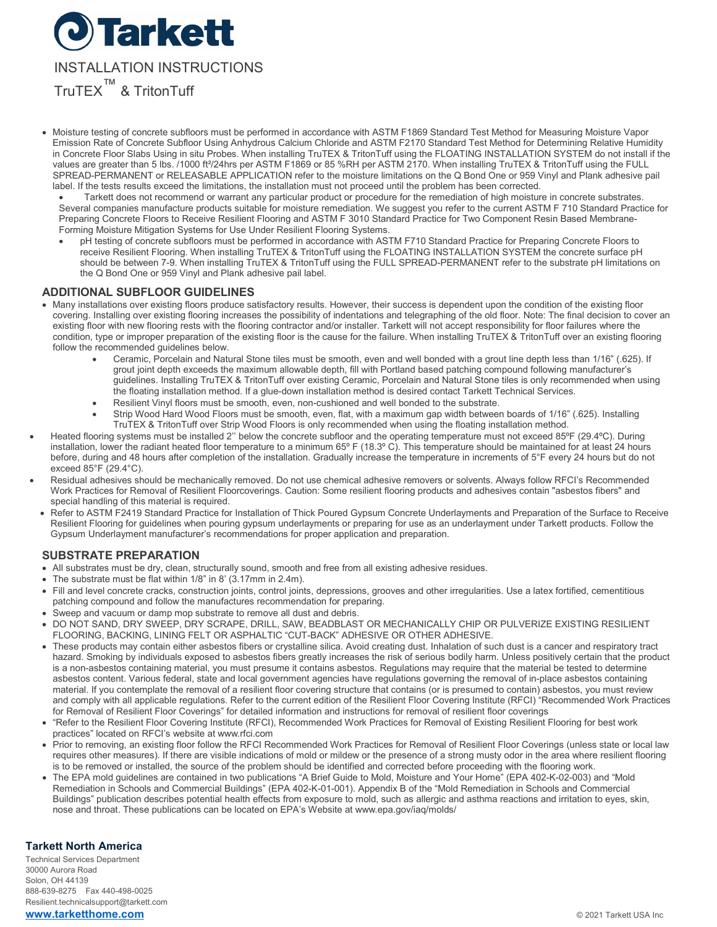

- Moisture testing of concrete subfloors must be performed in accordance with ASTM F1869 Standard Test Method for Measuring Moisture Vapor Emission Rate of Concrete Subfloor Using Anhydrous Calcium Chloride and ASTM F2170 Standard Test Method for Determining Relative Humidity in Concrete Floor Slabs Using in situ Probes. When installing TruTEX & TritonTuff using the FLOATING INSTALLATION SYSTEM do not install if the values are greater than 5 lbs. /1000 ft²/24hrs per ASTM F1869 or 85 %RH per ASTM 2170. When installing TruTEX & TritonTuff using the FULL SPREAD-PERMANENT or RELEASABLE APPLICATION refer to the moisture limitations on the Q Bond One or 959 Vinyl and Plank adhesive pail label. If the tests results exceed the limitations, the installation must not proceed until the problem has been corrected.
	- Tarkett does not recommend or warrant any particular product or procedure for the remediation of high moisture in concrete substrates. Several companies manufacture products suitable for moisture remediation. We suggest you refer to the current ASTM F 710 Standard Practice for Preparing Concrete Floors to Receive Resilient Flooring and ASTM F 3010 Standard Practice for Two Component Resin Based Membrane-Forming Moisture Mitigation Systems for Use Under Resilient Flooring Systems.
	- pH testing of concrete subfloors must be performed in accordance with ASTM F710 Standard Practice for Preparing Concrete Floors to receive Resilient Flooring. When installing TruTEX & TritonTuff using the FLOATING INSTALLATION SYSTEM the concrete surface pH should be between 7-9. When installing TruTEX & TritonTuff using the FULL SPREAD-PERMANENT refer to the substrate pH limitations on the Q Bond One or 959 Vinyl and Plank adhesive pail label.

## **ADDITIONAL SUBFLOOR GUIDELINES**

- Many installations over existing floors produce satisfactory results. However, their success is dependent upon the condition of the existing floor covering. Installing over existing flooring increases the possibility of indentations and telegraphing of the old floor. Note: The final decision to cover an existing floor with new flooring rests with the flooring contractor and/or installer. Tarkett will not accept responsibility for floor failures where the condition, type or improper preparation of the existing floor is the cause for the failure. When installing TruTEX & TritonTuff over an existing flooring follow the recommended guidelines below.
	- Ceramic, Porcelain and Natural Stone tiles must be smooth, even and well bonded with a grout line depth less than 1/16" (.625). If grout joint depth exceeds the maximum allowable depth, fill with Portland based patching compound following manufacturer's guidelines. Installing TruTEX & TritonTuff over existing Ceramic, Porcelain and Natural Stone tiles is only recommended when using the floating installation method. If a glue-down installation method is desired contact Tarkett Technical Services.
	- Resilient Vinyl floors must be smooth, even, non-cushioned and well bonded to the substrate.
	- Strip Wood Hard Wood Floors must be smooth, even, flat, with a maximum gap width between boards of 1/16" (.625). Installing TruTEX & TritonTuff over Strip Wood Floors is only recommended when using the floating installation method.
- Heated flooring systems must be installed 2'' below the concrete subfloor and the operating temperature must not exceed 85ºF (29.4ºC). During installation, lower the radiant heated floor temperature to a minimum 65º F (18.3º C). This temperature should be maintained for at least 24 hours before, during and 48 hours after completion of the installation. Gradually increase the temperature in increments of 5°F every 24 hours but do not exceed 85°F (29.4°C).
- Residual adhesives should be mechanically removed. Do not use chemical adhesive removers or solvents. Always follow RFCI's Recommended Work Practices for Removal of Resilient Floorcoverings. Caution: Some resilient flooring products and adhesives contain "asbestos fibers" and special handling of this material is required.
- Refer to ASTM F2419 Standard Practice for Installation of Thick Poured Gypsum Concrete Underlayments and Preparation of the Surface to Receive Resilient Flooring for guidelines when pouring gypsum underlayments or preparing for use as an underlayment under Tarkett products. Follow the Gypsum Underlayment manufacturer's recommendations for proper application and preparation.

### **SUBSTRATE PREPARATION**

- All substrates must be dry, clean, structurally sound, smooth and free from all existing adhesive residues.
- The substrate must be flat within 1/8" in 8' (3.17mm in 2.4m).
- Fill and level concrete cracks, construction joints, control joints, depressions, grooves and other irregularities. Use a latex fortified, cementitious patching compound and follow the manufactures recommendation for preparing.
- Sweep and vacuum or damp mop substrate to remove all dust and debris. • DO NOT SAND, DRY SWEEP, DRY SCRAPE, DRILL, SAW, BEADBLAST OR MECHANICALLY CHIP OR PULVERIZE EXISTING RESILIENT
- FLOORING, BACKING, LINING FELT OR ASPHALTIC "CUT-BACK" ADHESIVE OR OTHER ADHESIVE.
- These products may contain either asbestos fibers or crystalline silica. Avoid creating dust. Inhalation of such dust is a cancer and respiratory tract hazard. Smoking by individuals exposed to asbestos fibers greatly increases the risk of serious bodily harm. Unless positively certain that the product is a non-asbestos containing material, you must presume it contains asbestos. Regulations may require that the material be tested to determine asbestos content. Various federal, state and local government agencies have regulations governing the removal of in-place asbestos containing material. If you contemplate the removal of a resilient floor covering structure that contains (or is presumed to contain) asbestos, you must review and comply with all applicable regulations. Refer to the current edition of the Resilient Floor Covering Institute (RFCI) "Recommended Work Practices for Removal of Resilient Floor Coverings" for detailed information and instructions for removal of resilient floor coverings
- "Refer to the Resilient Floor Covering Institute (RFCI), Recommended Work Practices for Removal of Existing Resilient Flooring for best work practices" located on RFCI's website at [www.rfci.com](http://www.rfci.com/)
- Prior to removing, an existing floor follow the RFCI Recommended Work Practices for Removal of Resilient Floor Coverings (unless state or local law requires other measures). If there are visible indications of mold or mildew or the presence of a strong musty odor in the area where resilient flooring is to be removed or installed, the source of the problem should be identified and corrected before proceeding with the flooring work.
- The EPA mold guidelines are contained in two publications "A Brief Guide to Mold, Moisture and Your Home" (EPA 402-K-02-003) and "Mold Remediation in Schools and Commercial Buildings" (EPA 402-K-01-001). Appendix B of the "Mold Remediation in Schools and Commercial Buildings" publication describes potential health effects from exposure to mold, such as allergic and asthma reactions and irritation to eyes, skin, nose and throat. These publications can be located on EPA's Website a[t www.epa.gov/iaq/molds/](http://www.epa.gov/iaq/molds/)

### **Tarkett North America**

Technical Services Department 30000 Aurora Road Solon, OH 44139 888-639-8275 Fax 440-498-0025 Resilient.technicalsupport@tarkett.com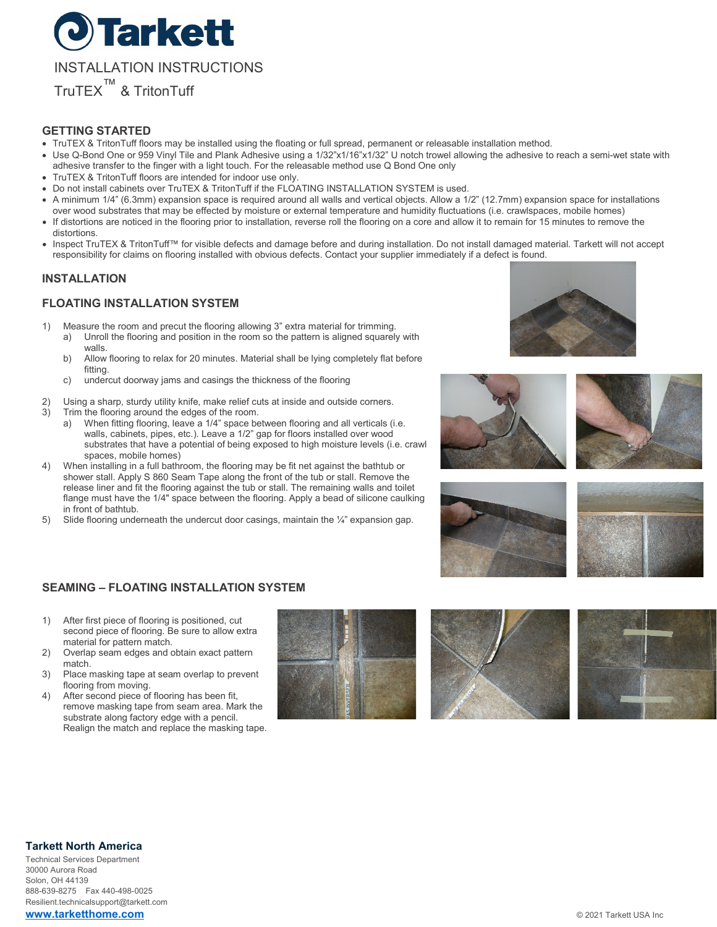

## **GETTING STARTED**

- TruTEX & TritonTuff floors may be installed using the floating or full spread, permanent or releasable installation method.
- Use Q-Bond One or 959 Vinyl Tile and Plank Adhesive using a 1/32"x1/16"x1/32" U notch trowel allowing the adhesive to reach a semi-wet state with adhesive transfer to the finger with a light touch. For the releasable method use Q Bond One only
- TruTEX & TritonTuff floors are intended for indoor use only.
- Do not install cabinets over TruTEX & TritonTuff if the FLOATING INSTALLATION SYSTEM is used.
- A minimum 1/4" (6.3mm) expansion space is required around all walls and vertical objects. Allow a 1/2" (12.7mm) expansion space for installations over wood substrates that may be effected by moisture or external temperature and humidity fluctuations (i.e. crawlspaces, mobile homes)
- If distortions are noticed in the flooring prior to installation, reverse roll the flooring on a core and allow it to remain for 15 minutes to remove the distortions.
- Inspect TruTEX & TritonTuff™ for visible defects and damage before and during installation. Do not install damaged material. Tarkett will not accept responsibility for claims on flooring installed with obvious defects. Contact your supplier immediately if a defect is found.

## **INSTALLATION**

## **FLOATING INSTALLATION SYSTEM**

- 1) Measure the room and precut the flooring allowing 3" extra material for trimming. a) Unroll the flooring and position in the room so the pattern is aligned squarely with walls.
	- b) Allow flooring to relax for 20 minutes. Material shall be lying completely flat before fitting.
	- c) undercut doorway jams and casings the thickness of the flooring
- 2) Using a sharp, sturdy utility knife, make relief cuts at inside and outside corners.
- 3) Trim the flooring around the edges of the room.
	- a) When fitting flooring, leave a 1/4" space between flooring and all verticals (i.e. walls, cabinets, pipes, etc.). Leave a 1/2" gap for floors installed over wood substrates that have a potential of being exposed to high moisture levels (i.e. crawl spaces, mobile homes)
- 4) When installing in a full bathroom, the flooring may be fit net against the bathtub or shower stall. Apply S 860 Seam Tape along the front of the tub or stall. Remove the release liner and fit the flooring against the tub or stall. The remaining walls and toilet flange must have the 1/4" space between the flooring. Apply a bead of silicone caulking in front of bathtub.
- 5) Slide flooring underneath the undercut door casings, maintain the  $\frac{1}{4}$ " expansion gap.









## **SEAMING – FLOATING INSTALLATION SYSTEM**

- 1) After first piece of flooring is positioned, cut second piece of flooring. Be sure to allow extra material for pattern match.
- 2) Overlap seam edges and obtain exact pattern match.
- 3) Place masking tape at seam overlap to prevent flooring from moving.
- 4) After second piece of flooring has been fit, remove masking tape from seam area. Mark the substrate along factory edge with a pencil. Realign the match and replace the masking tape.







## **Tarkett North America**

Technical Services Department 30000 Aurora Road Solon, OH 44139 888-639-8275 Fax 440-498-0025 Resilient.technicalsupport@tarkett.com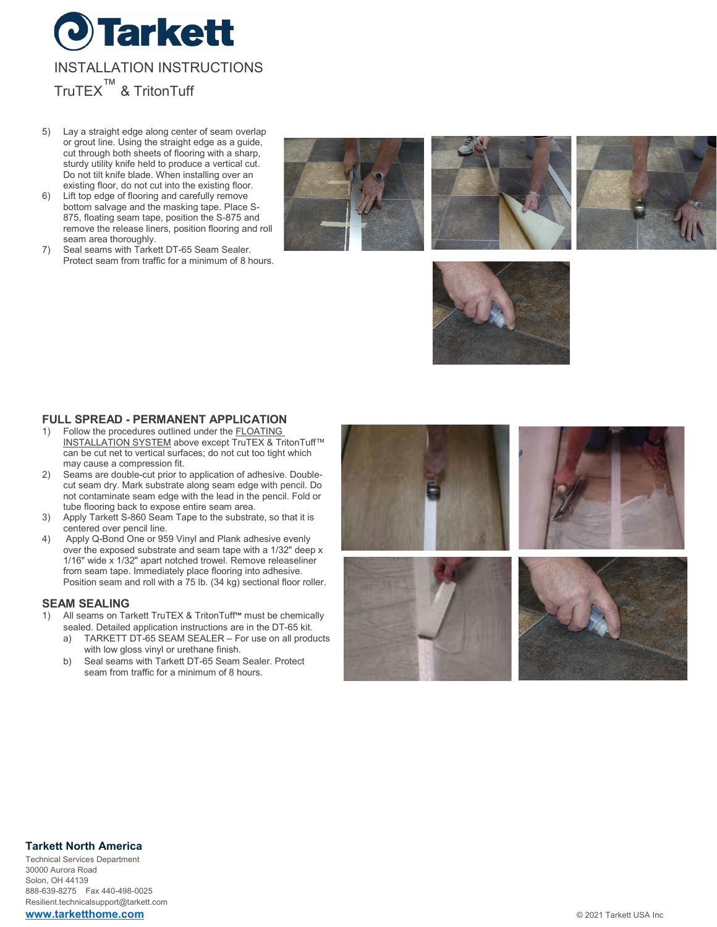

- 5) Lay a straight edge along center of seam overlap or grout line. Using the straight edge as a guide, cut through both sheets of flooring with a sharp, sturdy utility knife held to produce a vertical cut. Do not tilt knife blade. When installing over an existing floor, do not cut into the existing floor.
- 6) Lift top edge of flooring and carefully remove bottom salvage and the masking tape. Place S-875, floating seam tape, position the S-875 and remove the release liners, position flooring and roll seam area thoroughly.
- 7) Seal seams with Tarkett DT-65 Seam Sealer. Protect seam from traffic for a minimum of 8 hours.









# **FULL SPREAD - PERMANENT APPLICATION**

- Follow the procedures outlined under the **FLOATING** INSTALLATION SYSTEM above except TruTEX & TritonTuff™ can be cut net to vertical surfaces; do not cut too tight which may cause a compression fit.
- 2) Seams are double-cut prior to application of adhesive. Doublecut seam dry. Mark substrate along seam edge with pencil. Do not contaminate seam edge with the lead in the pencil. Fold or tube flooring back to expose entire seam area.
- 3) Apply Tarkett S-860 Seam Tape to the substrate, so that it is centered over pencil line.
- 4) Apply Q-Bond One or 959 Vinyl and Plank adhesive evenly over the exposed substrate and seam tape with a 1/32" deep x 1/16" wide x 1/32" apart notched trowel. Remove releaseliner from seam tape. Immediately place flooring into adhesive. Position seam and roll with a 75 lb. (34 kg) sectional floor roller.

# **SEAM SEALING**<br>1) All seams on Ta

- 1) All seams on Tarkett TruTEX & TritonTuff**™** must be chemically sealed. Detailed application instructions are in the DT-65 kit.
	- a) TARKETT DT-65 SEAM SEALER For use on all products with low gloss vinyl or urethane finish.
	- b) Seal seams with Tarkett DT-65 Seam Sealer. Protect seam from traffic for a minimum of 8 hours.



### **Tarkett North America**

Technical Services Department 30000 Aurora Road Solon, OH 44139 888-639-8275 Fax 440-498-0025 Resilient.technicalsupport@tarkett.com